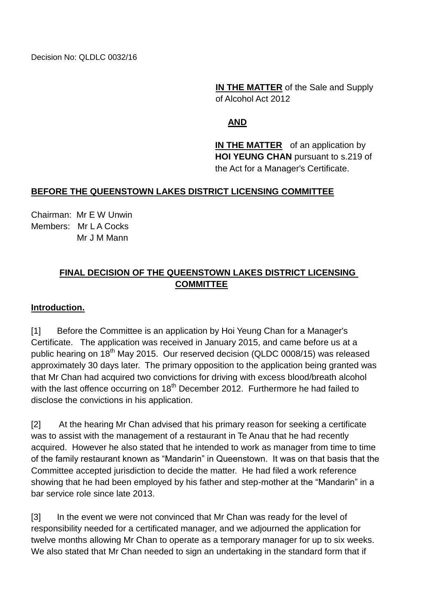Decision No: QLDLC 0032/16

**IN THE MATTER** of the Sale and Supply of Alcohol Act 2012

## **AND**

**IN THE MATTER** of an application by **HOI YEUNG CHAN** pursuant to s.219 of the Act for a Manager's Certificate.

### **BEFORE THE QUEENSTOWN LAKES DISTRICT LICENSING COMMITTEE**

Chairman: Mr E W Unwin Members: Mr L A Cocks Mr J M Mann

## **FINAL DECISION OF THE QUEENSTOWN LAKES DISTRICT LICENSING COMMITTEE**

#### **Introduction.**

[1] Before the Committee is an application by Hoi Yeung Chan for a Manager's Certificate. The application was received in January 2015, and came before us at a public hearing on 18<sup>th</sup> May 2015. Our reserved decision (QLDC 0008/15) was released approximately 30 days later. The primary opposition to the application being granted was that Mr Chan had acquired two convictions for driving with excess blood/breath alcohol with the last offence occurring on 18<sup>th</sup> December 2012. Furthermore he had failed to disclose the convictions in his application.

[2] At the hearing Mr Chan advised that his primary reason for seeking a certificate was to assist with the management of a restaurant in Te Anau that he had recently acquired. However he also stated that he intended to work as manager from time to time of the family restaurant known as "Mandarin" in Queenstown. It was on that basis that the Committee accepted jurisdiction to decide the matter. He had filed a work reference showing that he had been employed by his father and step-mother at the "Mandarin" in a bar service role since late 2013.

[3] In the event we were not convinced that Mr Chan was ready for the level of responsibility needed for a certificated manager, and we adjourned the application for twelve months allowing Mr Chan to operate as a temporary manager for up to six weeks. We also stated that Mr Chan needed to sign an undertaking in the standard form that if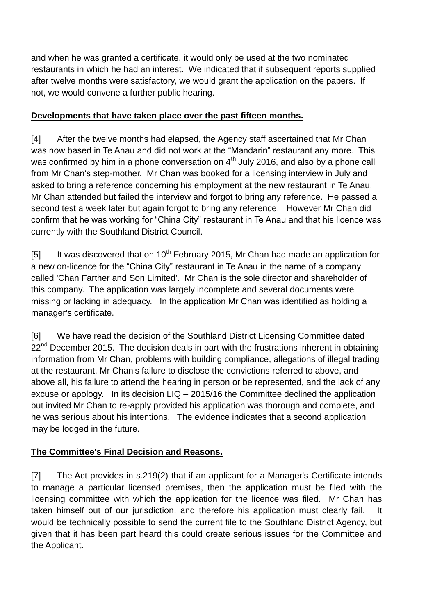and when he was granted a certificate, it would only be used at the two nominated restaurants in which he had an interest. We indicated that if subsequent reports supplied after twelve months were satisfactory, we would grant the application on the papers. If not, we would convene a further public hearing.

## **Developments that have taken place over the past fifteen months.**

[4] After the twelve months had elapsed, the Agency staff ascertained that Mr Chan was now based in Te Anau and did not work at the "Mandarin" restaurant any more. This was confirmed by him in a phone conversation on  $4<sup>th</sup>$  July 2016, and also by a phone call from Mr Chan's step-mother. Mr Chan was booked for a licensing interview in July and asked to bring a reference concerning his employment at the new restaurant in Te Anau. Mr Chan attended but failed the interview and forgot to bring any reference. He passed a second test a week later but again forgot to bring any reference. However Mr Chan did confirm that he was working for "China City" restaurant in Te Anau and that his licence was currently with the Southland District Council.

[5] It was discovered that on  $10^{th}$  February 2015, Mr Chan had made an application for a new on-licence for the "China City" restaurant in Te Anau in the name of a company called 'Chan Farther and Son Limited'. Mr Chan is the sole director and shareholder of this company. The application was largely incomplete and several documents were missing or lacking in adequacy. In the application Mr Chan was identified as holding a manager's certificate.

[6] We have read the decision of the Southland District Licensing Committee dated  $22<sup>nd</sup>$  December 2015. The decision deals in part with the frustrations inherent in obtaining information from Mr Chan, problems with building compliance, allegations of illegal trading at the restaurant, Mr Chan's failure to disclose the convictions referred to above, and above all, his failure to attend the hearing in person or be represented, and the lack of any excuse or apology. In its decision LIQ – 2015/16 the Committee declined the application but invited Mr Chan to re-apply provided his application was thorough and complete, and he was serious about his intentions. The evidence indicates that a second application may be lodged in the future.

# **The Committee's Final Decision and Reasons.**

[7] The Act provides in s.219(2) that if an applicant for a Manager's Certificate intends to manage a particular licensed premises, then the application must be filed with the licensing committee with which the application for the licence was filed. Mr Chan has taken himself out of our jurisdiction, and therefore his application must clearly fail. It would be technically possible to send the current file to the Southland District Agency, but given that it has been part heard this could create serious issues for the Committee and the Applicant.